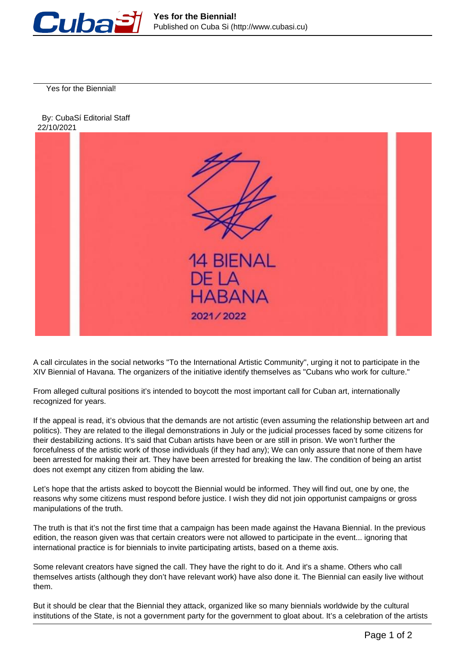

Yes for the Biennial!





A call circulates in the social networks "To the International Artistic Community", urging it not to participate in the XIV Biennial of Havana. The organizers of the initiative identify themselves as "Cubans who work for culture."

From alleged cultural positions it's intended to boycott the most important call for Cuban art, internationally recognized for years.

If the appeal is read, it's obvious that the demands are not artistic (even assuming the relationship between art and politics). They are related to the illegal demonstrations in July or the judicial processes faced by some citizens for their destabilizing actions. It's said that Cuban artists have been or are still in prison. We won't further the forcefulness of the artistic work of those individuals (if they had any); We can only assure that none of them have been arrested for making their art. They have been arrested for breaking the law. The condition of being an artist does not exempt any citizen from abiding the law.

Let's hope that the artists asked to boycott the Biennial would be informed. They will find out, one by one, the reasons why some citizens must respond before justice. I wish they did not join opportunist campaigns or gross manipulations of the truth.

The truth is that it's not the first time that a campaign has been made against the Havana Biennial. In the previous edition, the reason given was that certain creators were not allowed to participate in the event... ignoring that international practice is for biennials to invite participating artists, based on a theme axis.

Some relevant creators have signed the call. They have the right to do it. And it's a shame. Others who call themselves artists (although they don't have relevant work) have also done it. The Biennial can easily live without them.

But it should be clear that the Biennial they attack, organized like so many biennials worldwide by the cultural institutions of the State, is not a government party for the government to gloat about. It's a celebration of the artists